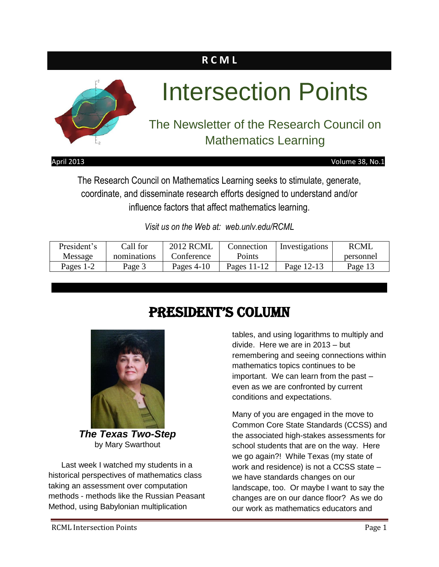# **R C M L**



# Intersection Points

# The Newsletter of the Research Council on Mathematics Learning

#### April 2013 Volume 38, No.1

The Research Council on Mathematics Learning seeks to stimulate, generate, coordinate, and disseminate research efforts designed to understand and/or influence factors that affect mathematics learning.

*Visit us on the Web at: web.unlv.edu/RCML*

| President's | Call for    | <b>2012 RCML</b> | Connection  | Investigations | <b>RCML</b> |
|-------------|-------------|------------------|-------------|----------------|-------------|
| Message     | nominations | Conference       | Points      |                | personnel   |
| Pages 1-2   | Page 3      | Pages $4-10$     | Pages 11-12 | Page 12-13     | Page 13     |

# President's Column



*The Texas Two-Step* by Mary Swarthout

Last week I watched my students in a historical perspectives of mathematics class taking an assessment over computation methods - methods like the Russian Peasant Method, using Babylonian multiplication

tables, and using logarithms to multiply and divide. Here we are in 2013 – but remembering and seeing connections within mathematics topics continues to be important. We can learn from the past – even as we are confronted by current conditions and expectations.

Many of you are engaged in the move to Common Core State Standards (CCSS) and the associated high-stakes assessments for school students that are on the way. Here we go again?! While Texas (my state of work and residence) is not a CCSS state – we have standards changes on our landscape, too. Or maybe I want to say the changes are on our dance floor? As we do our work as mathematics educators and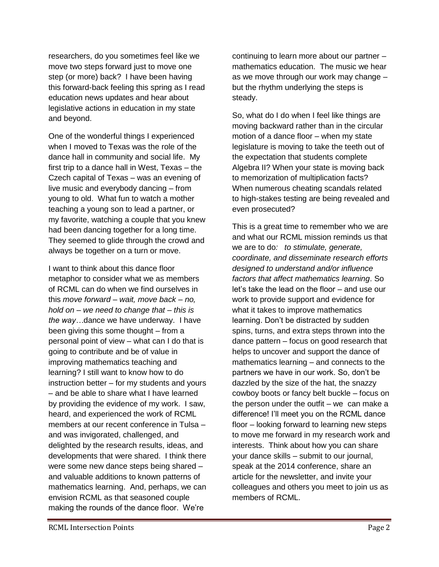researchers, do you sometimes feel like we move two steps forward just to move one step (or more) back? I have been having this forward-back feeling this spring as I read education news updates and hear about legislative actions in education in my state and beyond.

One of the wonderful things I experienced when I moved to Texas was the role of the dance hall in community and social life. My first trip to a dance hall in West, Texas – the Czech capital of Texas – was an evening of live music and everybody dancing – from young to old. What fun to watch a mother teaching a young son to lead a partner, or my favorite, watching a couple that you knew had been dancing together for a long time. They seemed to glide through the crowd and always be together on a turn or move.

I want to think about this dance floor metaphor to consider what we as members of RCML can do when we find ourselves in this *move forward – wait, move back – no, hold on – we need to change that – this is the way…*dance we have underway. I have been giving this some thought – from a personal point of view – what can I do that is going to contribute and be of value in improving mathematics teaching and learning? I still want to know how to do instruction better – for my students and yours – and be able to share what I have learned by providing the evidence of my work. I saw, heard, and experienced the work of RCML members at our recent conference in Tulsa – and was invigorated, challenged, and delighted by the research results, ideas, and developments that were shared. I think there were some new dance steps being shared – and valuable additions to known patterns of mathematics learning. And, perhaps, we can envision RCML as that seasoned couple making the rounds of the dance floor. We're

continuing to learn more about our partner – mathematics education. The music we hear as we move through our work may change – but the rhythm underlying the steps is steady.

So, what do I do when I feel like things are moving backward rather than in the circular motion of a dance floor – when my state legislature is moving to take the teeth out of the expectation that students complete Algebra II? When your state is moving back to memorization of multiplication facts? When numerous cheating scandals related to high-stakes testing are being revealed and even prosecuted?

This is a great time to remember who we are and what our RCML mission reminds us that we are to do*: to stimulate, generate, coordinate, and disseminate research efforts designed to understand and/or influence factors that affect mathematics learning*. So let's take the lead on the floor – and use our work to provide support and evidence for what it takes to improve mathematics learning. Don't be distracted by sudden spins, turns, and extra steps thrown into the dance pattern – focus on good research that helps to uncover and support the dance of mathematics learning – and connects to the partners we have in our work. So, don't be dazzled by the size of the hat, the snazzy cowboy boots or fancy belt buckle – focus on the person under the outfit  $-$  we can make a difference! I'll meet you on the RCML dance floor – looking forward to learning new steps to move me forward in my research work and interests. Think about how you can share your dance skills – submit to our journal, speak at the 2014 conference, share an article for the newsletter, and invite your colleagues and others you meet to join us as members of RCML.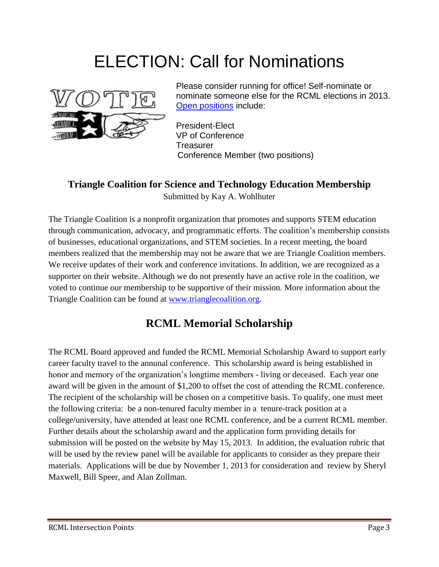# ELECTION: Call for Nominations



Please consider running for office! Self-nominate or nominate someone else for the RCML elections in 2013. [Open positions](http://web.unlv.edu/RCML/2012_Election_Nomination_Form.pdf) include:

President-Elect VP of Conference **Treasurer** Conference Member (two positions)

#### **Triangle Coalition for Science and Technology Education Membership** Submitted by Kay A. Wohlhuter

The Triangle Coalition is a nonprofit organization that promotes and supports STEM education through communication, advocacy, and programmatic efforts. The coalition's membership consists of businesses, educational organizations, and STEM societies. In a recent meeting, the board members realized that the membership may not be aware that we are Triangle Coalition members. We receive updates of their work and conference invitations. In addition, we are recognized as a supporter on their website. Although we do not presently have an active role in the coalition, we voted to continue our membership to be supportive of their mission. More information about the Triangle Coalition can be found at [www.trianglecoalition.org.](http://www.trianglecoalition.org/)

## **RCML Memorial Scholarship**

The RCML Board approved and funded the RCML Memorial Scholarship Award to support early career faculty travel to the annunal conference. This scholarship award is being established in honor and memory of the organization's longtime members - living or deceased. Each year one award will be given in the amount of \$1,200 to offset the cost of attending the RCML conference. The recipient of the scholarship will be chosen on a competitive basis. To qualify, one must meet the following criteria: be a non-tenured faculty member in a tenure-track position at a college/university, have attended at least one RCML conference, and be a current RCML member. Further details about the scholarship award and the application form providing details for submission will be posted on the website by May 15, 2013. In addition, the evaluation rubric that will be used by the review panel will be available for applicants to consider as they prepare their materials. Applications will be due by November 1, 2013 for consideration and review by Sheryl Maxwell, Bill Speer, and Alan Zollman.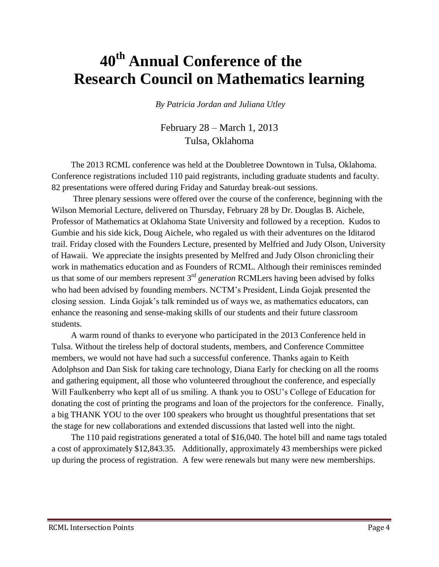# **40th Annual Conference of the Research Council on Mathematics learning**

*By Patricia Jordan and Juliana Utley* 

February 28 – March 1, 2013 Tulsa, Oklahoma

The 2013 RCML conference was held at the Doubletree Downtown in Tulsa, Oklahoma. Conference registrations included 110 paid registrants, including graduate students and faculty. 82 presentations were offered during Friday and Saturday break-out sessions.

Three plenary sessions were offered over the course of the conference, beginning with the Wilson Memorial Lecture, delivered on Thursday, February 28 by Dr. Douglas B. Aichele, Professor of Mathematics at Oklahoma State University and followed by a reception. Kudos to Gumbie and his side kick, Doug Aichele, who regaled us with their adventures on the Iditarod trail. Friday closed with the Founders Lecture, presented by Melfried and Judy Olson, University of Hawaii. We appreciate the insights presented by Melfred and Judy Olson chronicling their work in mathematics education and as Founders of RCML. Although their reminisces reminded us that some of our members represent 3rd *generation* RCMLers having been advised by folks who had been advised by founding members. NCTM's President, Linda Gojak presented the closing session. Linda Gojak's talk reminded us of ways we, as mathematics educators, can enhance the reasoning and sense-making skills of our students and their future classroom students.

A warm round of thanks to everyone who participated in the 2013 Conference held in Tulsa. Without the tireless help of doctoral students, members, and Conference Committee members, we would not have had such a successful conference. Thanks again to Keith Adolphson and Dan Sisk for taking care technology, Diana Early for checking on all the rooms and gathering equipment, all those who volunteered throughout the conference, and especially Will Faulkenberry who kept all of us smiling. A thank you to OSU's College of Education for donating the cost of printing the programs and loan of the projectors for the conference. Finally, a big THANK YOU to the over 100 speakers who brought us thoughtful presentations that set the stage for new collaborations and extended discussions that lasted well into the night.

The 110 paid registrations generated a total of \$16,040. The hotel bill and name tags totaled a cost of approximately \$12,843.35. Additionally, approximately 43 memberships were picked up during the process of registration. A few were renewals but many were new memberships.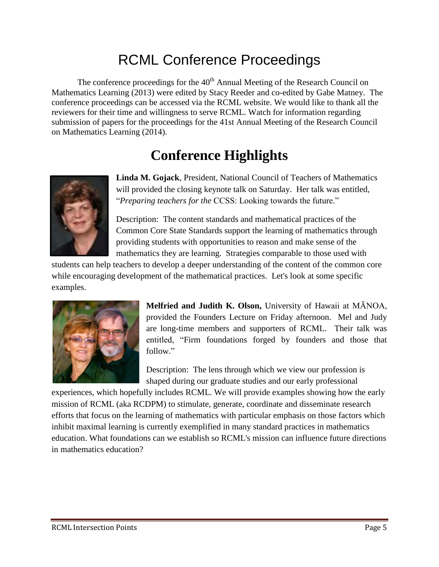# RCML Conference Proceedings

The conference proceedings for the  $40<sup>th</sup>$  Annual Meeting of the Research Council on Mathematics Learning (2013) were edited by Stacy Reeder and co-edited by Gabe Matney. The conference proceedings can be accessed via the RCML website. We would like to thank all the reviewers for their time and willingness to serve RCML. Watch for information regarding submission of papers for the proceedings for the 41st Annual Meeting of the Research Council on Mathematics Learning (2014).

# **Conference Highlights**



**Linda M. Gojack**, President, National Council of Teachers of Mathematics will provided the closing keynote talk on Saturday. Her talk was entitled, "*Preparing teachers for the* CCSS: Looking towards the future."

Description: The content standards and mathematical practices of the Common Core State Standards support the learning of mathematics through providing students with opportunities to reason and make sense of the mathematics they are learning. Strategies comparable to those used with

students can help teachers to develop a deeper understanding of the content of the common core while encouraging development of the mathematical practices. Let's look at some specific examples.



**Melfried and Judith K. Olson,** University of Hawaii at MĀNOA, provided the Founders Lecture on Friday afternoon. Mel and Judy are long-time members and supporters of RCML. Their talk was entitled, "Firm foundations forged by founders and those that follow."

Description: The lens through which we view our profession is shaped during our graduate studies and our early professional

experiences, which hopefully includes RCML. We will provide examples showing how the early mission of RCML (aka RCDPM) to stimulate, generate, coordinate and disseminate research efforts that focus on the learning of mathematics with particular emphasis on those factors which inhibit maximal learning is currently exemplified in many standard practices in mathematics education. What foundations can we establish so RCML's mission can influence future directions in mathematics education?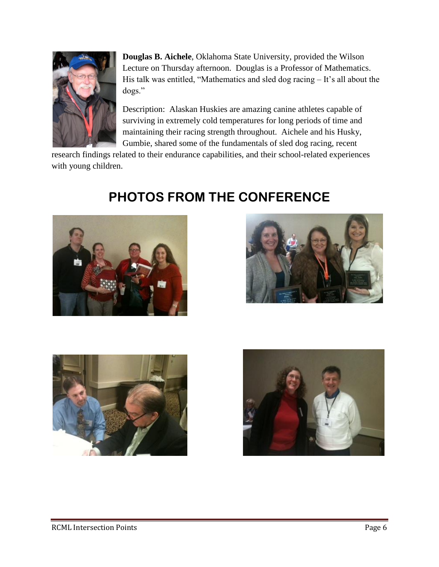

**Douglas B. Aichele**, Oklahoma State University, provided the Wilson Lecture on Thursday afternoon. Douglas is a Professor of Mathematics. His talk was entitled, "Mathematics and sled dog racing – It's all about the dogs."

Description: Alaskan Huskies are amazing canine athletes capable of surviving in extremely cold temperatures for long periods of time and maintaining their racing strength throughout. Aichele and his Husky, Gumbie, shared some of the fundamentals of sled dog racing, recent

research findings related to their endurance capabilities, and their school-related experiences with young children.



# **PHOTOS FROM THE CONFERENCE**





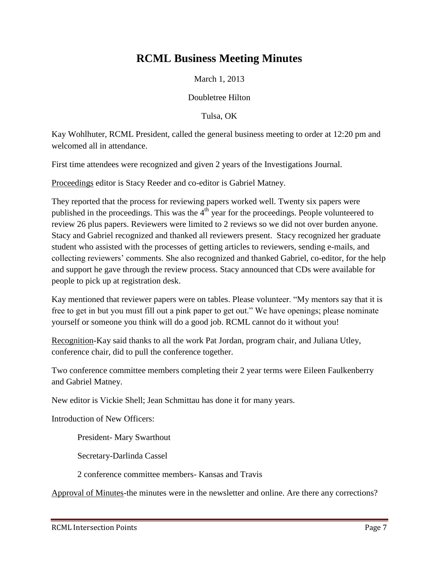### **RCML Business Meeting Minutes**

March 1, 2013

Doubletree Hilton

Tulsa, OK

Kay Wohlhuter, RCML President, called the general business meeting to order at 12:20 pm and welcomed all in attendance.

First time attendees were recognized and given 2 years of the Investigations Journal.

Proceedings editor is Stacy Reeder and co-editor is Gabriel Matney.

They reported that the process for reviewing papers worked well. Twenty six papers were published in the proceedings. This was the  $4<sup>th</sup>$  year for the proceedings. People volunteered to review 26 plus papers. Reviewers were limited to 2 reviews so we did not over burden anyone. Stacy and Gabriel recognized and thanked all reviewers present. Stacy recognized her graduate student who assisted with the processes of getting articles to reviewers, sending e-mails, and collecting reviewers' comments. She also recognized and thanked Gabriel, co-editor, for the help and support he gave through the review process. Stacy announced that CDs were available for people to pick up at registration desk.

Kay mentioned that reviewer papers were on tables. Please volunteer. "My mentors say that it is free to get in but you must fill out a pink paper to get out." We have openings; please nominate yourself or someone you think will do a good job. RCML cannot do it without you!

Recognition-Kay said thanks to all the work Pat Jordan, program chair, and Juliana Utley, conference chair, did to pull the conference together.

Two conference committee members completing their 2 year terms were Eileen Faulkenberry and Gabriel Matney.

New editor is Vickie Shell; Jean Schmittau has done it for many years.

Introduction of New Officers:

President- Mary Swarthout

Secretary-Darlinda Cassel

2 conference committee members- Kansas and Travis

Approval of Minutes-the minutes were in the newsletter and online. Are there any corrections?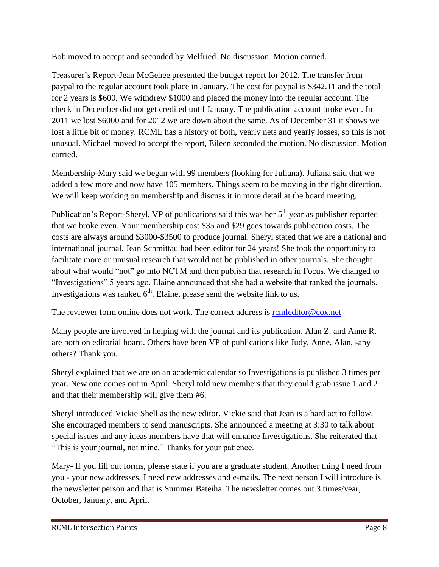Bob moved to accept and seconded by Melfried. No discussion. Motion carried.

Treasurer's Report-Jean McGehee presented the budget report for 2012. The transfer from paypal to the regular account took place in January. The cost for paypal is \$342.11 and the total for 2 years is \$600. We withdrew \$1000 and placed the money into the regular account. The check in December did not get credited until January. The publication account broke even. In 2011 we lost \$6000 and for 2012 we are down about the same. As of December 31 it shows we lost a little bit of money. RCML has a history of both, yearly nets and yearly losses, so this is not unusual. Michael moved to accept the report, Eileen seconded the motion. No discussion. Motion carried.

Membership-Mary said we began with 99 members (looking for Juliana). Juliana said that we added a few more and now have 105 members. Things seem to be moving in the right direction. We will keep working on membership and discuss it in more detail at the board meeting.

Publication's Report-Sheryl, VP of publications said this was her  $5<sup>th</sup>$  year as publisher reported that we broke even. Your membership cost \$35 and \$29 goes towards publication costs. The costs are always around \$3000-\$3500 to produce journal. Sheryl stated that we are a national and international journal. Jean Schmittau had been editor for 24 years! She took the opportunity to facilitate more or unusual research that would not be published in other journals. She thought about what would "not" go into NCTM and then publish that research in Focus. We changed to "Investigations" 5 years ago. Elaine announced that she had a website that ranked the journals. Investigations was ranked  $6<sup>th</sup>$ . Elaine, please send the website link to us.

The reviewer form online does not work. The correct address is [rcmleditor@cox.net](mailto:rcmleditor@cox.net)

Many people are involved in helping with the journal and its publication. Alan Z. and Anne R. are both on editorial board. Others have been VP of publications like Judy, Anne, Alan, -any others? Thank you.

Sheryl explained that we are on an academic calendar so Investigations is published 3 times per year. New one comes out in April. Sheryl told new members that they could grab issue 1 and 2 and that their membership will give them #6.

Sheryl introduced Vickie Shell as the new editor. Vickie said that Jean is a hard act to follow. She encouraged members to send manuscripts. She announced a meeting at 3:30 to talk about special issues and any ideas members have that will enhance Investigations. She reiterated that "This is your journal, not mine." Thanks for your patience.

Mary- If you fill out forms, please state if you are a graduate student. Another thing I need from you - your new addresses. I need new addresses and e-mails. The next person I will introduce is the newsletter person and that is Summer Bateiha. The newsletter comes out 3 times/year, October, January, and April.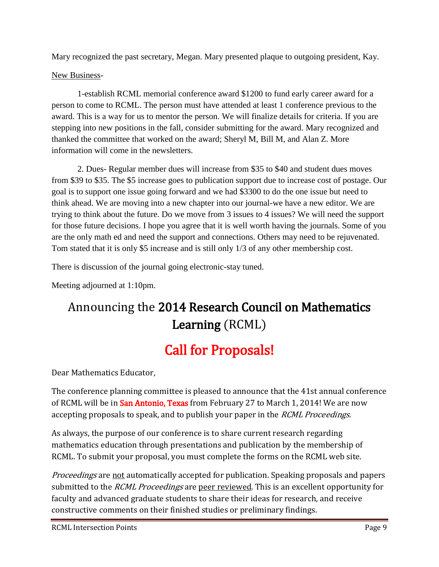Mary recognized the past secretary, Megan. Mary presented plaque to outgoing president, Kay.

#### New Business-

1-establish RCML memorial conference award \$1200 to fund early career award for a person to come to RCML. The person must have attended at least 1 conference previous to the award. This is a way for us to mentor the person. We will finalize details for criteria. If you are stepping into new positions in the fall, consider submitting for the award. Mary recognized and thanked the committee that worked on the award; Sheryl M, Bill M, and Alan Z. More information will come in the newsletters.

2. Dues- Regular member dues will increase from \$35 to \$40 and student dues moves from \$39 to \$35. The \$5 increase goes to publication support due to increase cost of postage. Our goal is to support one issue going forward and we had \$3300 to do the one issue but need to think ahead. We are moving into a new chapter into our journal-we have a new editor. We are trying to think about the future. Do we move from 3 issues to 4 issues? We will need the support for those future decisions. I hope you agree that it is well worth having the journals. Some of you are the only math ed and need the support and connections. Others may need to be rejuvenated. Tom stated that it is only \$5 increase and is still only 1/3 of any other membership cost.

There is discussion of the journal going electronic-stay tuned.

Meeting adjourned at 1:10pm.

# Announcing the 2014 Research Council on Mathematics Learning (RCML)

# Call for Proposals!

Dear Mathematics Educator,

The conference planning committee is pleased to announce that the 41st annual conference of RCML will be in San Antonio, Texas from February 27 to March 1, 2014! We are now accepting proposals to speak, and to publish your paper in the *RCML Proceedings*.

As always, the purpose of our conference is to share current research regarding mathematics education through presentations and publication by the membership of RCML. To submit your proposal, you must complete the forms on the RCML web site.

Proceedings are not automatically accepted for publication. Speaking proposals and papers submitted to the *RCML Proceedings* are peer reviewed. This is an excellent opportunity for faculty and advanced graduate students to share their ideas for research, and receive constructive comments on their finished studies or preliminary findings.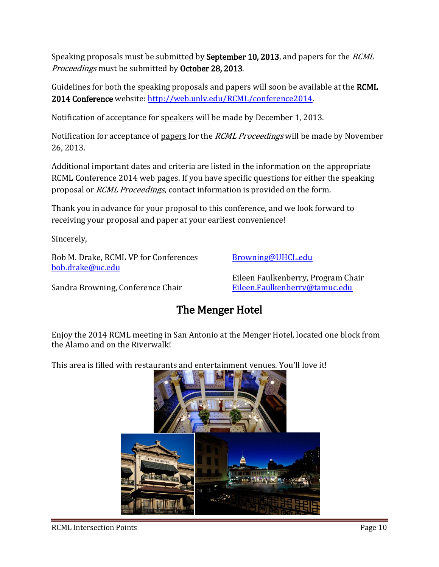Speaking proposals must be submitted by September 10, 2013, and papers for the RCML Proceedings must be submitted by October 28, 2013.

Guidelines for both the speaking proposals and papers will soon be available at the **RCML** 2014 Conference website: [http://web.unlv.edu/RCML/conference2014.](http://web.unlv.edu/RCML/conference2014)

Notification of acceptance for speakers will be made by December 1, 2013.

Notification for acceptance of papers for the *RCML Proceedings* will be made by November 26, 2013.

Additional important dates and criteria are listed in the information on the appropriate RCML Conference 2014 web pages. If you have specific questions for either the speaking proposal or RCML Proceedings, contact information is provided on the form.

Thank you in advance for your proposal to this conference, and we look forward to receiving your proposal and paper at your earliest convenience!

Sincerely,

Bob M. Drake, RCML VP for Conferences [bob.drake@uc.edu](mailto:bob.drake@uc.edu)

[Browning@UHCL.edu](mailto:Browning@UHCL.edu)

Sandra Browning, Conference Chair

Eileen Faulkenberry, Program Chair [Eileen.Faulkenberry@tamuc.edu](mailto:Eileen.Faulkenberry@tamuc.edu)

### The Menger Hotel

Enjoy the 2014 RCML meeting in San Antonio at the Menger Hotel, located one block from the Alamo and on the Riverwalk!

This area is filled with restaurants and entertainment venues. You'll love it!

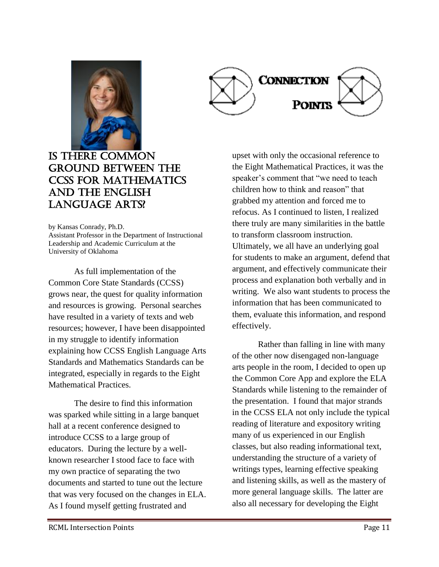



### **IS THERE COMMON** ground between the CCSS for Mathematics and the English Language Arts?

by Kansas Conrady, Ph.D. Assistant Professor in the Department of Instructional Leadership and Academic Curriculum at the University of Oklahoma

As full implementation of the Common Core State Standards (CCSS) grows near, the quest for quality information and resources is growing. Personal searches have resulted in a variety of texts and web resources; however, I have been disappointed in my struggle to identify information explaining how CCSS English Language Arts Standards and Mathematics Standards can be integrated, especially in regards to the Eight Mathematical Practices.

The desire to find this information was sparked while sitting in a large banquet hall at a recent conference designed to introduce CCSS to a large group of educators. During the lecture by a wellknown researcher I stood face to face with my own practice of separating the two documents and started to tune out the lecture that was very focused on the changes in ELA. As I found myself getting frustrated and

upset with only the occasional reference to the Eight Mathematical Practices, it was the speaker's comment that "we need to teach children how to think and reason" that grabbed my attention and forced me to refocus. As I continued to listen, I realized there truly are many similarities in the battle to transform classroom instruction. Ultimately, we all have an underlying goal for students to make an argument, defend that argument, and effectively communicate their process and explanation both verbally and in writing. We also want students to process the information that has been communicated to them, evaluate this information, and respond effectively.

Rather than falling in line with many of the other now disengaged non-language arts people in the room, I decided to open up the Common Core App and explore the ELA Standards while listening to the remainder of the presentation. I found that major strands in the CCSS ELA not only include the typical reading of literature and expository writing many of us experienced in our English classes, but also reading informational text, understanding the structure of a variety of writings types, learning effective speaking and listening skills, as well as the mastery of more general language skills. The latter are also all necessary for developing the Eight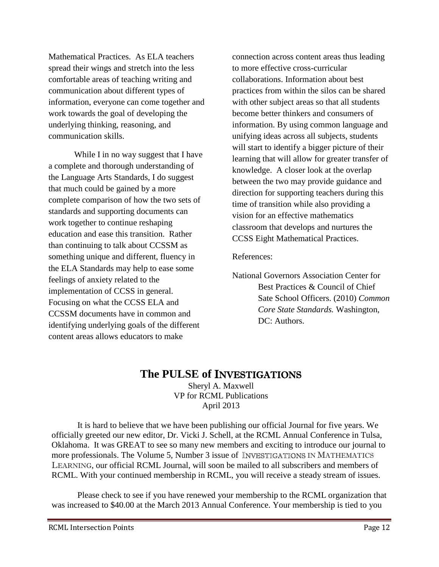Mathematical Practices. As ELA teachers spread their wings and stretch into the less comfortable areas of teaching writing and communication about different types of information, everyone can come together and work towards the goal of developing the underlying thinking, reasoning, and communication skills.

While I in no way suggest that I have a complete and thorough understanding of the Language Arts Standards, I do suggest that much could be gained by a more complete comparison of how the two sets of standards and supporting documents can work together to continue reshaping education and ease this transition. Rather than continuing to talk about CCSSM as something unique and different, fluency in the ELA Standards may help to ease some feelings of anxiety related to the implementation of CCSS in general. Focusing on what the CCSS ELA and CCSSM documents have in common and identifying underlying goals of the different content areas allows educators to make

connection across content areas thus leading to more effective cross-curricular collaborations. Information about best practices from within the silos can be shared with other subject areas so that all students become better thinkers and consumers of information. By using common language and unifying ideas across all subjects, students will start to identify a bigger picture of their learning that will allow for greater transfer of knowledge. A closer look at the overlap between the two may provide guidance and direction for supporting teachers during this time of transition while also providing a vision for an effective mathematics classroom that develops and nurtures the CCSS Eight Mathematical Practices.

#### References:

National Governors Association Center for Best Practices & Council of Chief Sate School Officers. (2010) *Common Core State Standards.* Washington, DC: Authors.

#### **The PULSE of** INVESTIGATIONS

Sheryl A. Maxwell VP for RCML Publications April 2013

It is hard to believe that we have been publishing our official Journal for five years. We officially greeted our new editor, Dr. Vicki J. Schell, at the RCML Annual Conference in Tulsa, Oklahoma. It was GREAT to see so many new members and exciting to introduce our journal to more professionals. The Volume 5, Number 3 issue of INVESTIGATIONS IN MATHEMATICS LEARNING, our official RCML Journal, will soon be mailed to all subscribers and members of RCML. With your continued membership in RCML, you will receive a steady stream of issues.

Please check to see if you have renewed your membership to the RCML organization that was increased to \$40.00 at the March 2013 Annual Conference. Your membership is tied to you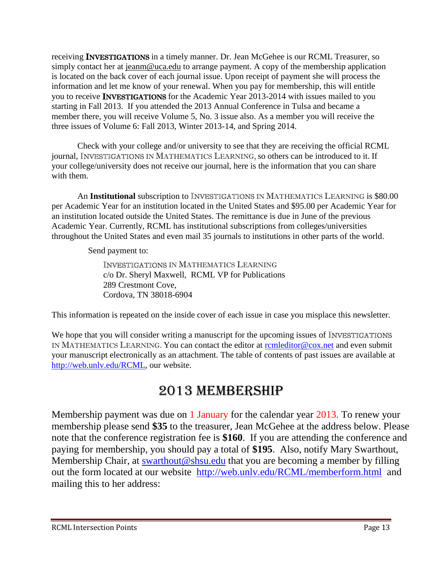receiving INVESTIGATIONS in a timely manner. Dr. Jean McGehee is our RCML Treasurer, so simply contact her at <u>jeanm@uca.edu</u> to arrange payment. A copy of the membership application is located on the back cover of each journal issue. Upon receipt of payment she will process the information and let me know of your renewal. When you pay for membership, this will entitle you to receive INVESTIGATIONS for the Academic Year 2013-2014 with issues mailed to you starting in Fall 2013. If you attended the 2013 Annual Conference in Tulsa and became a member there, you will receive Volume 5, No. 3 issue also. As a member you will receive the three issues of Volume 6: Fall 2013, Winter 2013-14, and Spring 2014.

Check with your college and/or university to see that they are receiving the official RCML journal, INVESTIGATIONS IN MATHEMATICS LEARNING, so others can be introduced to it. If your college/university does not receive our journal, here is the information that you can share with them.

An **Institutional** subscription to **INVESTIGATIONS** IN MATHEMATICS LEARNING is \$80.00 per Academic Year for an institution located in the United States and \$95.00 per Academic Year for an institution located outside the United States. The remittance is due in June of the previous Academic Year. Currently, RCML has institutional subscriptions from colleges/universities throughout the United States and even mail 35 journals to institutions in other parts of the world.

Send payment to:

INVESTIGATIONS IN MATHEMATICS LEARNING c/o Dr. Sheryl Maxwell, RCML VP for Publications 289 Crestmont Cove, Cordova, TN 38018-6904

This information is repeated on the inside cover of each issue in case you misplace this newsletter.

We hope that you will consider writing a manuscript for the upcoming issues of **INVESTIGATIONS** IN MATHEMATICS LEARNING. You can contact the editor at [rcmleditor@cox.net](mailto:rcmleditor@cox.net) and even submit your manuscript electronically as an attachment. The table of contents of past issues are available at [http://web.unlv.edu/RCML,](http://web.unlv.edu/RCML) our website.

# 2013 MEMBERSHIP

Membership payment was due on 1 January for the calendar year 2013. To renew your membership please send **\$35** to the treasurer, Jean McGehee at the address below. Please note that the conference registration fee is **\$160**. If you are attending the conference and paying for membership, you should pay a total of **\$195**. Also, notify Mary Swarthout, Membership Chair, at [swarthout@shsu.edu](mailto:swarthout@shsu.edu) that you are becoming a member by filling out the form located at our website [http://web.unlv.edu/RCML/memberform.html](file:///C:/Documents%20and%20Settings/wkuuser/My%20Documents/RCML%20Newsletter/%22) and mailing this to her address: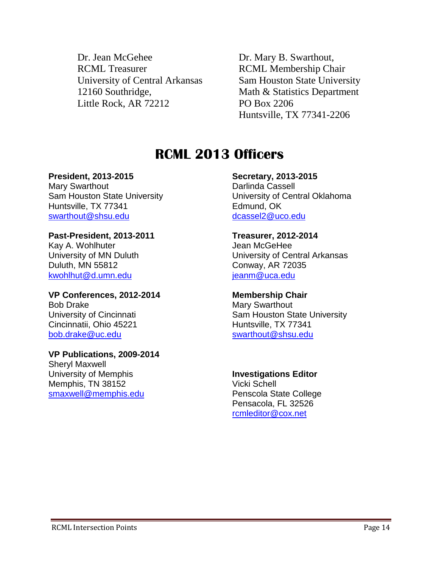Dr. Jean McGehee Dr. Mary B. Swarthout, RCML Treasurer RCML Membership Chair University of Central Arkansas Sam Houston State University 12160 Southridge, Math & Statistics Department Little Rock, AR 72212 PO Box 2206

Huntsville, TX 77341-2206

# **RCML 2013 Officers**

#### **President, 2013-2015**

Mary Swarthout Sam Houston State University Huntsville, TX 77341 [swarthout@shsu.edu](mailto:swarthout@shsu.edu)

#### **Past-President, 2013-2011**

Kay A. Wohlhuter University of MN Duluth Duluth, MN 55812 [kwohlhut@d.umn.edu](mailto:kwohlhut@d.umn.edu)

**VP Conferences, 2012-2014** Bob Drake University of Cincinnati Cincinnatii, Ohio 45221 [bob.drake@uc.edu](mailto:bob.drake@uc.edu)

#### **VP Publications, 2009-2014** Sheryl Maxwell University of Memphis

Memphis, TN 38152 [smaxwell@memphis.edu](mailto:smaxwell@memphis.edu)

#### **Secretary, 2013-2015** Darlinda Cassell University of Central Oklahoma Edmund, OK [dcassel2@uco.edu](mailto:dcassel2@uco.edu)

#### **Treasurer, 2012-2014** Jean McGeHee University of Central Arkansas Conway, AR 72035 [jeanm@uca.edu](mailto:jeanm@uca.edu)

#### **Membership Chair**

Mary Swarthout Sam Houston State University Huntsville, TX 77341 [swarthout@shsu.edu](mailto:swarthout@shsu.edu)

#### **Investigations Editor**

Vicki Schell Penscola State College Pensacola, FL 32526 [rcmleditor@cox.net](mailto:rcmleditor@cox.net)